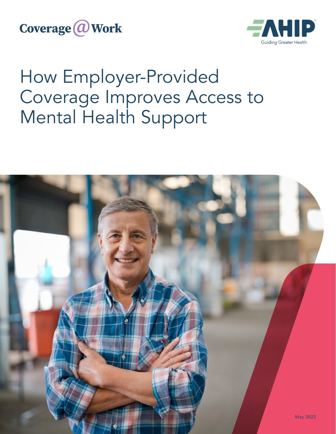**Coverage @Work** 



# How Employer-Provided Coverage Improves Access to Mental Health Support

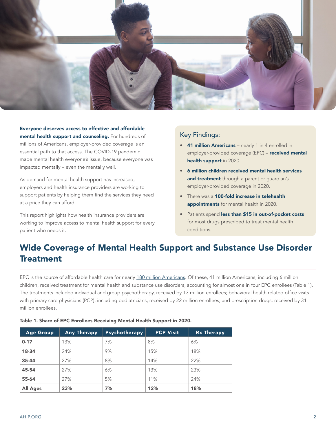

Everyone deserves access to effective and affordable mental health support and counseling. For hundreds of millions of Americans, employer-provided coverage is an essential path to that access. The COVID-19 pandemic made mental health everyone's issue, because everyone was impacted mentally – even the mentally well.

As demand for mental health support has increased, employers and health insurance providers are working to support patients by helping them find the services they need at a price they can afford.

This report highlights how health insurance providers are working to improve access to mental health support for every patient who needs it.

#### Key Findings:

- 41 million Americans nearly 1 in 4 enrolled in employer-provided coverage (EPC) - received mental health support in 2020.
- 6 million children received mental health services and treatment through a parent or guardian's employer-provided coverage in 2020.
- There was a 100-fold increase in telehealth appointments for mental health in 2020.
- Patients spend less than \$15 in out-of-pocket costs for most drugs prescribed to treat mental health conditions.

## Wide Coverage of Mental Health Support and Substance Use Disorder **Treatment**

EPC is the source of affordable health care for nearly [180 million Americans](https://www.census.gov/content/dam/Census/library/publications/2021/demo/p60-274.pdf). Of these, 41 million Americans, including 6 million children, received treatment for mental health and substance use disorders, accounting for almost one in four EPC enrollees (Table 1). The treatments included individual and group psychotherapy, received by 13 million enrollees; behavioral health related office visits with primary care physicians (PCP), including pediatricians, received by 22 million enrollees; and prescription drugs, received by 31 million enrollees.

| Age Group       | <b>Any Therapy</b> | <b>Psychotherapy</b> | <b>PCP Visit</b> | <b>Rx Therapy</b> |
|-----------------|--------------------|----------------------|------------------|-------------------|
| $0 - 17$        | 13%                | 7%                   | 8%               | 6%                |
| 18-34           | 24%                | 9%                   | 15%              | 18%               |
| $35 - 44$       | 27%                | 8%                   | 14%              | 22%               |
| 45-54           | 27%                | 6%                   | 13%              | 23%               |
| 55-64           | 27%                | 5%                   | 11%              | 24%               |
| <b>All Ages</b> | 23%                | 7%                   | 12%              | 18%               |

#### Table 1. Share of EPC Enrollees Receiving Mental Health Support in 2020.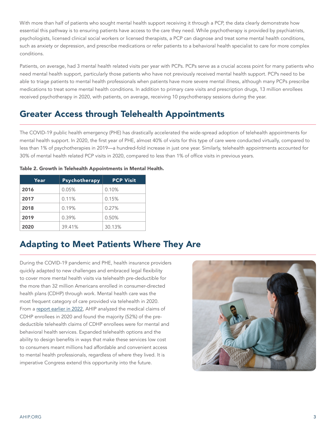With more than half of patients who sought mental health support receiving it through a PCP, the data clearly demonstrate how essential this pathway is to ensuring patients have access to the care they need. While psychotherapy is provided by psychiatrists, psychologists, licensed clinical social workers or licensed therapists, a PCP can diagnose and treat some mental health conditions, such as anxiety or depression, and prescribe medications or refer patients to a behavioral health specialist to care for more complex conditions.

Patients, on average, had 3 mental health related visits per year with PCPs. PCPs serve as a crucial access point for many patients who need mental health support, particularly those patients who have not previously received mental health support. PCPs need to be able to triage patients to mental health professionals when patients have more severe mental illness, although many PCPs prescribe medications to treat some mental health conditions. In addition to primary care visits and prescription drugs, 13 million enrollees received psychotherapy in 2020, with patients, on average, receiving 10 psychotherapy sessions during the year.

### Greater Access through Telehealth Appointments

The COVID-19 public health emergency (PHE) has drastically accelerated the wide-spread adoption of telehealth appointments for mental health support. In 2020, the first year of PHE, almost 40% of visits for this type of care were conducted virtually, compared to less than 1% of psychotherapies in 2019—a hundred-fold increase in just one year. Similarly, telehealth appointments accounted for 30% of mental health related PCP visits in 2020, compared to less than 1% of office visits in previous years.

| Year | Psychotherapy | <b>PCP Visit</b> |
|------|---------------|------------------|
| 2016 | 0.05%         | 0.10%            |
| 2017 | 0.11%         | 0.15%            |
| 2018 | 0.19%         | 0.27%            |
| 2019 | 0.39%         | 0.50%            |
| 2020 | 39.41%        | 30.13%           |

### Adapting to Meet Patients Where They Are

During the COVID-19 pandemic and PHE, health insurance providers quickly adapted to new challenges and embraced legal flexibility to cover more mental health visits via telehealth pre-deductible for the more than 32 million Americans enrolled in consumer-directed health plans (CDHP) through work. Mental health care was the most frequent category of care provided via telehealth in 2020. From a [report earlier in 2022,](https://www.ahip.org/documents/202203-CaW_TelehealthSurvey-v04.pdf) AHIP analyzed the medical claims of CDHP enrollees in 2020 and found the majority (52%) of the predeductible telehealth claims of CDHP enrollees were for mental and behavioral health services. Expanded telehealth options and the ability to design benefits in ways that make these services low cost to consumers meant millions had affordable and convenient access to mental health professionals, regardless of where they lived. It is imperative Congress extend this opportunity into the future.

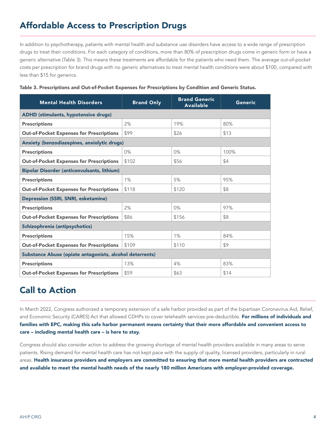## Affordable Access to Prescription Drugs

In addition to psychotherapy, patients with mental health and substance use disorders have access to a wide range of prescription drugs to treat their conditions. For each category of conditions, more than 80% of prescription drugs come in generic form or have a generic alternative (Table 3). This means these treatments are affordable for the patients who need them. The average out-of-pocket costs per prescription for brand drugs with no generic alternatives to treat mental health conditions were about \$100, compared with less than \$15 for generics.

| <b>Mental Health Disorders</b>                           | <b>Brand Only</b> | <b>Brand Generic</b><br><b>Available</b> | Generic |  |  |  |
|----------------------------------------------------------|-------------------|------------------------------------------|---------|--|--|--|
| ADHD (stimulants, hypotensive drugs)                     |                   |                                          |         |  |  |  |
| <b>Prescriptions</b>                                     | 2%                | 19%                                      | 80%     |  |  |  |
| <b>Out-of-Pocket Expenses for Prescriptions</b>          | \$99              | \$26                                     | \$13    |  |  |  |
| Anxiety (benzodiazepines, anxiolytic drugs)              |                   |                                          |         |  |  |  |
| <b>Prescriptions</b>                                     | 0%                | $0\%$                                    | 100%    |  |  |  |
| <b>Out-of-Pocket Expenses for Prescriptions</b>          | \$102             | \$56                                     | \$4     |  |  |  |
| <b>Bipolar Disorder (anticonvulsants, lithium)</b>       |                   |                                          |         |  |  |  |
| <b>Prescriptions</b>                                     | 1%                | 5%                                       | 95%     |  |  |  |
| <b>Out-of-Pocket Expenses for Prescriptions</b>          | \$118             | \$120                                    | \$8     |  |  |  |
| Depression (SSRI, SNRI, esketamine)                      |                   |                                          |         |  |  |  |
| <b>Prescriptions</b>                                     | 2%                | $0\%$                                    | 97%     |  |  |  |
| <b>Out-of-Pocket Expenses for Prescriptions</b>          | \$86              | \$156                                    | \$8     |  |  |  |
| Schizophrenia (antipsychotics)                           |                   |                                          |         |  |  |  |
| <b>Prescriptions</b>                                     | 15%               | 1%                                       | 84%     |  |  |  |
| <b>Out-of-Pocket Expenses for Prescriptions</b>          | \$109             | \$110                                    | \$9     |  |  |  |
| Substance Abuse (opiate antagonists, alcohol deterrents) |                   |                                          |         |  |  |  |
| <b>Prescriptions</b>                                     | 13%               | 4%                                       | 83%     |  |  |  |
| <b>Out-of-Pocket Expenses for Prescriptions</b>          | \$59              | \$63                                     | \$14    |  |  |  |

#### Table 3. Prescriptions and Out-of-Pocket Expenses for Prescriptions by Condition and Generic Status.

### Call to Action

In March 2022, Congress authorized a temporary extension of a safe harbor provided as part of the bipartisan Coronavirus Aid, Relief, and Economic Security (CARES) Act that allowed CDHPs to cover telehealth services pre-deductible. For millions of individuals and families with EPC, making this safe harbor permanent means certainty that their more affordable and convenient access to care – including mental health care – is here to stay.

Congress should also consider action to address the growing shortage of mental health providers available in many areas to serve patients. Rising demand for mental health care has not kept pace with the supply of quality, licensed providers, particularly in rural areas. Health insurance providers and employers are committed to ensuring that more mental health providers are contracted and available to meet the mental health needs of the nearly 180 million Americans with employer-provided coverage.